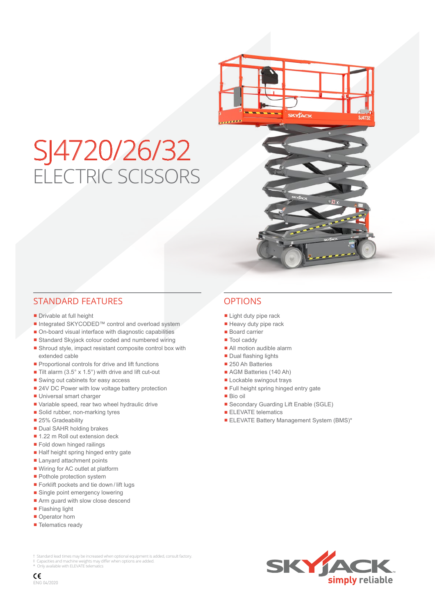# SJ4720/26/32 ELECTRIC SCISSORS

## STANDARD FEATURES OPTIONS

- Drivable at full height
- Integrated SKYCODED™ control and overload system
- On-board visual interface with diagnostic capabilities
- Standard Skyjack colour coded and numbered wiring
- Shroud style, impact resistant composite control box with extended cable
- Proportional controls for drive and lift functions
- Tilt alarm  $(3.5^\circ \times 1.5^\circ)$  with drive and lift cut-out
- Swing out cabinets for easy access
- 24V DC Power with low voltage battery protection
- Universal smart charger
- Variable speed, rear two wheel hydraulic drive
- Solid rubber, non-marking tyres
- 25% Gradeability
- Dual SAHR holding brakes
- 1.22 m Roll out extension deck
- Fold down hinged railings
- Half height spring hinged entry gate
- Lanyard attachment points
- Wiring for AC outlet at platform
- Pothole protection system
- Forklift pockets and tie down / lift lugs
- Single point emergency lowering
- Arm guard with slow close descend
- Flashing light
- Operator horn
- Telematics ready

- Light duty pipe rack
- Heavy duty pipe rack
- Board carrier
- Tool caddy
- All motion audible alarm
- Dual flashing lights
- 250 Ah Batteries
- AGM Batteries (140 Ah)
- Lockable swingout trays
- Full height spring hinged entry gate
- Bio oil
- Secondary Guarding Lift Enable (SGLE)
- ELEVATE telematics
- **ELEVATE Battery Management System (BMS)\***

† Standard lead times may be increased when optional equipment is added, consult factory.<br>‡ Capacities and machine weights may differ when options are added.<br>\* Only available with ELEVATE telematics



 $\epsilon$ ENG 04/2020